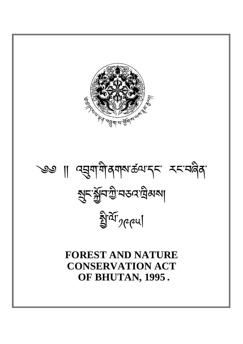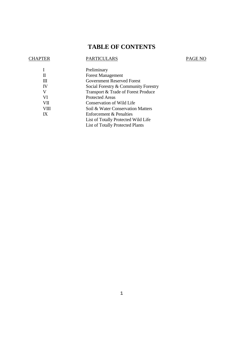# **TABLE OF CONTENTS**

## CHAPTER PARTICULARS PAGE NO

| Preliminary                             |
|-----------------------------------------|
| <b>Forest Management</b>                |
| <b>Government Reserved Forest</b>       |
| Social Forestry & Community Forestry    |
| Transport & Trade of Forest Produce     |
| <b>Protected Areas</b>                  |
| Conservation of Wild Life               |
| Soil & Water Conservation Matters       |
| <b>Enforcement &amp; Penalties</b>      |
| List of Totally Protected Wild Life     |
| <b>List of Totally Protected Plants</b> |
|                                         |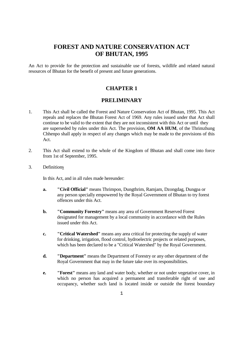## **FOREST AND NATURE CONSERVATION ACT OF BHUTAN, 1995**

An Act to provide for the protection and sustainable use of forests, wildlife and related natural resources of Bhutan for the benefit of present and future generations.

## **CHAPTER 1**

## **PRELIMINARY**

- 1. This Act shall be called the Forest and Nature Conservation Act of Bhutan, 1995. This Act repeals and replaces the Bhutan Forest Act of 1969. Any rules issued under that Act shall continue to be valid to the extent that they are not inconsistent with this Act or until they are superseded by rules under this Act. The provision, **OM AA HUM**, of the Thrimzhung Chhenpo shall apply in respect of any changes which may be made to the provisions of this Act.
- 2. This Act shall extend to the whole of the Kingdom of Bhutan and shall come into force from 1st of September, 1995.
- 3. Definitions

In this Act, and in all rules made hereunder:

- **a. "Civil Official"** means Thrimpon, Dungthrim, Ramjam, Dzongdag, Dungpa or any person specially empowered by the Royal Government of Bhutan to try forest offences under this Act.
- **b.** "Community Forestry" means any area of Government Reserved Forest designated for management by a local community in accordance with the Rules issued under this Act.
- **c. "Critical Watershed"** means any area critical for protecting the supply of water for drinking, irrigation, flood control, hydroelectric projects or related purposes, which has been declared to be a "Critical Watershed" by the Royal Government.
- **d. "Department"** means the Department of Forestry or any other department of the Royal Government that may in the future take over its responsibilities.
- **e.** "Forest" means any land and water body, whether or not under vegetative cover, in which no person has acquired a permanent and transferable right of use and occupancy, whether such land is located inside or outside the forest boundary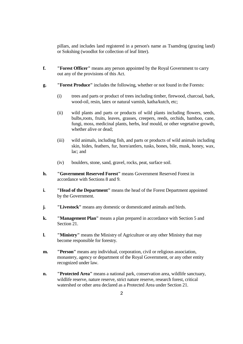pillars, and includes land registered in a person's name as Tsamdrog (grazing land) or Sokshing (woodlot for collection of leaf litter).

- **f. "Forest Officer"** means any person appointed by the Royal Government to carry out any of the provisions of this Act.
- **g. "Forest Produce"** includes the following, whether or not found in the Forests:
	- (i) trees and parts or product of trees including timber, firewood, charcoal, bark, wood-oil, resin, latex or natural varnish, katha/kutch, etc;
	- (ii) wild plants and parts or products of wild plants including flowers, seeds, bulbs,roots, fruits, leaves, grasses, creepers, reeds, orchids, bamboo, cane, fungi, moss, medicinal plants, herbs, leaf mould, or other vegetative growth, whether alive or dead;
	- (iii) wild animals, including fish, and parts or products of wild animals including skin, hides, feathers, fur, horn/antlers, tusks, bones, bile, musk, honey, wax, lac; and
	- (iv) boulders, stone, sand, gravel, rocks, peat, surface soil.
- **h. "Government Reserved Forest"** means Government Reserved Forest in accordance with Sections 8 and 9.
- **i.** "Head of the Department" means the head of the Forest Department appointed by the Government.
- **j. "Livestock"** means any domestic or domesticated animals and birds.
- **k. "Management Plan"** means a plan prepared in accordance with Section 5 and Section 21.
- **1.** "Ministry" means the Ministry of Agriculture or any other Ministry that may become responsible for forestry.
- **m.** "Person" means any individual, corporation, civil or religious association, monastery, agency or department of the Royal Government, or any other entity recognized under law.
- **n. "Protected Area"** means a national park, conservation area, wildlife sanctuary, wildlife reserve, nature reserve, strict nature reserve, research forest, critical watershed or other area declared as a Protected Area under Section 21.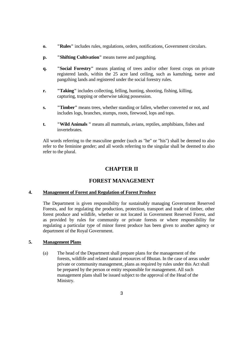- **o. "Rules"** includes rules, regulations, orders, notifications, Government circulars.
- **p. "Shifting Cultivation"** means tseree and pangzhing.
- **q. "Social Forestry"** means planting of trees and/or other forest crops on private registered lands, within the 25 acre land ceiling, such as kamzhing, tseree and pangzhing lands and registered under the social forestry rules.
- **r.** "Taking" includes collecting, felling, hunting, shooting, fishing, killing, capturing, trapping or otherwise taking possession.
- **s. "Timber"** means trees, whether standing or fallen, whether converted or not, and includes logs, branches, stumps, roots, firewood, lops and tops.
- **t.** "Wild Animals " means all mammals, avians, reptiles, amphibians, fishes and invertebrates.

All words referring to the masculine gender (such as "he" or "his") shall be deemed to also refer to the feminine gender; and all words referring to the singular shall be deemed to also refer to the plural.

## **CHAPTER II**

## **FOREST MANAGEMENT**

### **4. Management of Forest and Regulation of Forest Produce**

 The Department is given responsibility for sustainably managing Government Reserved Forests, and for regulating the production, protection, transport and trade of timber, other forest produce and wildlife, whether or not located in Government Reserved Forest, and as provided by rules for community or private forests or where responsibility for regulating a particular type of minor forest produce has been given to another agency or department of the Royal Government.

### **5. Management Plans**

 (a) The head of the Department shall prepare plans for the management of the forests, wildlife and related natural resources of Bhutan. In the case of areas under private or community management, plans as required by rules under this Act shall be prepared by the person or entity responsible for management. All such management plans shall be issued subject to the approval of the Head of the Ministry.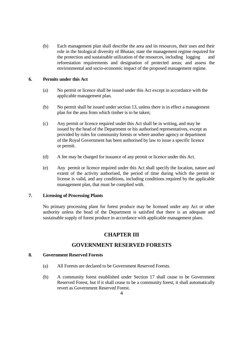(b) Each management plan shall describe the area and its resources, their uses and their role in the biological diversity of Bhutan; state the management regime required for the protection and sustainable utilization of the resources, including logging and reforestation requirements and designation of protected areas; and assess the environmental and socio-economic impact of the proposed management regime.

### **6. Permits under this Act**

- (a) No permit or licence shall be issued under this Act except in accordance with the applicable management plan.
- (b) No permit shall be issued under section 13, unless there is in effect a management plan for the area from which timber is to be taken;
- (c) Any permit or licence required under this Act shall be in writing, and may be issued by the head of the Department or his authorised representatives, except as provided by rules for community forests or where another agency or department of the Royal Government has been authorised by law to issue a specific licence or permit.
- (d) A fee may be charged for issuance of any permit or licence under this Act.
- (e) Any permit or licence required under this Act shall specify the location, nature and extent of the activity authorised, the period of time during which the permit or license is valid, and any conditions, including conditions required by the applicable management plan, that must be complied with.

#### **7. Licensing of Processing Plants**

 No primary processing plant for forest produce may be licensed under any Act or other authority unless the head of the Department is satisfied that there is an adequate and sustainable supply of forest produce in accordance with applicable management plans.

## **CHAPTER III**

## **GOVERNMENT RESERVED FORESTS**

#### **8. Government Reserved Forests**

- (a) All Forests are declared to be Government Reserved Forests.
- (b) A community forest established under Section 17 shall cease to be Government Reserved Forest, but if it shall cease to be a community forest, it shall automatically revert as Government Reserved Forest.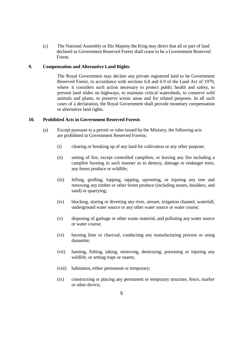(c) The National Assembly or His Majesty the King may direct that all or part of land declared as Government Reserved Forest shall cease to be a Government Reserved Forest.

#### **9. Compensation and Alternative Land Rights**

The Royal Government may declare any private registered land to be Government Reserved Forest, in accordance with sections 6.8 and 6.9 of the Land Act of 1979, where it considers such action necessary to protect public health and safety, to prevent land slides on highways, to maintain critical watersheds, to conserve wild animals and plants, to preserve scenic areas and for related purposes. In all such cases of a declaration, the Royal Government shall provide monetary compensation or alternative land rights.

#### **10. Prohibited Acts in Government Reserved Forests**

- (a) Except pursuant to a permit or rules issued by the Ministry, the following acts are prohibited in Government Reserved Forests;
	- (i) clearing or breaking up of any land for cultivation or any other purpose;
	- (ii) setting of fire, except controlled campfires, or leaving any fire including a campfire burning in such manner as to destroy, damage or endanger trees, any forest produce or wildlife;
	- (iii) felling, girdling, lopping, tapping, uprooting, or injuring any tree and removing any timber or other forest produce (including stones, boulders, and sand) or quarrying;
	- (iv) blocking, storing or diverting any river, stream, irrigation channel, waterfall, underground water source or any other water source or water course;
	- (v) disposing of garbage or other waste material, and polluting any water source or water course;
	- (vi) burning lime or charcoal, conducting any manufacturing process or using dynamite;
	- (vii) hunting, fishing, taking, removing, destroying, poisoning or injuring any wildlife, or setting traps or snares;
	- (viii) habitation, either permanent or temporary;
	- (ix) constructing or placing any permanent or temporary structure, fence, marker or other device;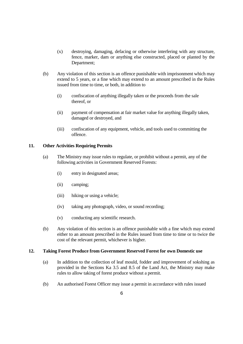- (x) destroying, damaging, defacing or otherwise interfering with any structure, fence, marker, dam or anything else constructed, placed or planted by the Department;
- (b) Any violation of this section is an offence punishable with imprisonment which may extend to 5 years, or a fine which may extend to an amount prescribed in the Rules issued from time to time, or both, in addition to
	- (i) confiscation of anything illegally taken or the proceeds from the sale thereof, or
	- (ii) payment of compensation at fair market value for anything illegally taken, damaged or destroyed, and
	- (iii) confiscation of any equipment, vehicle, and tools used to committing the offence.

#### **11. Other Activities Requiring Permits**

- (a) The Ministry may issue rules to regulate, or prohibit without a permit, any of the following activities in Government Reserved Forests:
	- (i) entry in designated areas;
	- (ii) camping;
	- (iii) hiking or using a vehicle;
	- (iv) taking any photograph, video, or sound recording;
	- (v) conducting any scientific research.
- (b) Any violation of this section is an offence punishable with a fine which may extend either to an amount prescribed in the Rules issued from time to time or to twice the cost of the relevant permit, whichever is higher.

#### **12. Taking Forest Produce from Government Reserved Forest for own Domestic use**

- (a) In addition to the collection of leaf mould, fodder and improvement of sokshing as provided in the Sections Ka 3.5 and 8.5 of the Land Act, the Ministry may make rules to allow taking of forest produce without a permit.
- (b) An authorised Forest Officer may issue a permit in accordance with rules issued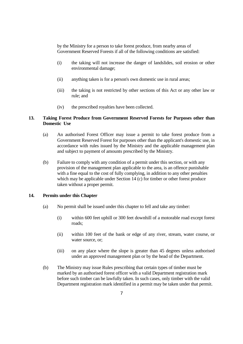by the Ministry for a person to take forest produce, from nearby areas of Government Reserved Forests if all of the following conditions are satisfied:

- (i) the taking will not increase the danger of landslides, soil erosion or other environmental damage;
- (ii) anything taken is for a person's own domestic use in rural areas;
- (iii) the taking is not restricted by other sections of this Act or any other law or rule; and
- (iv) the prescribed royalties have been collected.

#### **13. Taking Forest Produce from Government Reserved Forests for Purposes other than Domestic Use**

- (a) An authorised Forest Officer may issue a permit to take forest produce from a Government Reserved Forest for purposes other than the applicant's domestic use, in accordance with rules issued by the Ministry and the applicable management plan and subject to payment of amounts prescribed by the Ministry.
- (b) Failure to comply with any condition of a permit under this section, or with any provision of the management plan applicable to the area, is an offence punishable with a fine equal to the cost of fully complying, in addition to any other penalties which may be applicable under Section 14 (c) for timber or other forest produce taken without a proper permit.

### **14. Permits under this Chapter**

- (a) No permit shall be issued under this chapter to fell and take any timber:
	- (i) within 600 feet uphill or 300 feet downhill of a motorable road except forest roads;
	- (ii) within 100 feet of the bank or edge of any river, stream, water course, or water source, or:
	- (iii) on any place where the slope is greater than 45 degrees unless authorised under an approved management plan or by the head of the Department.
- (b) The Ministry may issue Rules prescribing that certain types of timber must be marked by an authorised forest officer with a valid Department registration mark before such timber can be lawfully taken. In such cases, only timber with the valid Department registration mark identified in a permit may be taken under that permit.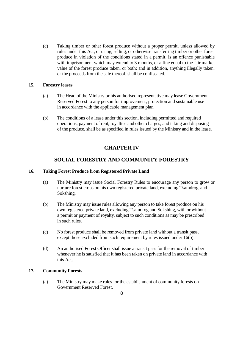(c) Taking timber or other forest produce without a proper permit, unless allowed by rules under this Act, or using, selling, or otherwise transferring timber or other forest produce in violation of the conditions stated in a permit, is an offence punishable with imprisonment which may extend to 3 months, or a fine equal to the fair market value of the forest produce taken, or both; and in addition, anything illegally taken, or the proceeds from the sale thereof, shall be confiscated.

#### **15. Forestry leases**

- (a) The Head of the Ministry or his authorised representative may lease Government Reserved Forest to any person for improvement, protection and sustainable use in accordance with the applicable management plan.
- (b) The conditions of a lease under this section, including permitted and required operations, payment of rent, royalties and other charges, and taking and disposing of the produce, shall be as specified in rules issued by the Ministry and in the lease.

## **CHAPTER IV**

## **SOCIAL FORESTRY AND COMMUNITY FORESTRY**

#### **16. Taking Forest Produce from Registered Private Land**

- (a) The Ministry may issue Social Forestry Rules to encourage any person to grow or nurture forest crops on his own registered private land, excluding Tsamdrog and Sokshing.
- (b) The Ministry may issue rules allowing any person to take forest produce on his own registered private land, excluding Tsamdrog and Sokshing, with or without a permit or payment of royalty, subject to such conditions as may be prescribed in such rules.
- (c) No forest produce shall be removed from private land without a transit pass, except those excluded from such requirement by rules issued under 16(b).
- (d) An authorised Forest Officer shall issue a transit pass for the removal of timber whenever he is satisfied that it has been taken on private land in accordance with this Act.

### **17. Community Forests**

 (a) The Ministry may make rules for the establishment of community forests on Government Reserved Forest.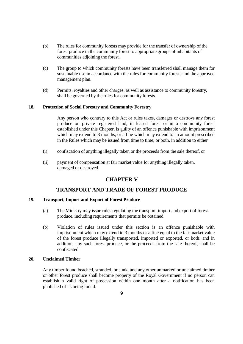- (b) The rules for community forests may provide for the transfer of ownership of the forest produce in the community forest to appropriate groups of inhabitants of communities adjoining the forest.
- (c) The group to which community forests have been transferred shall manage them for sustainable use in accordance with the rules for community forests and the approved management plan.
- (d) Permits, royalties and other charges, as well as assistance to community forestry, shall be governed by the rules for community forests.

#### **18. Protection of Social Forestry and Community Forestry**

Any person who contrary to this Act or rules takes, damages or destroys any forest produce on private registered land, in leased forest or in a community forest established under this Chapter, is guilty of an offence punishable with imprisonment which may extend to 3 months, or a fine which may extend to an amount prescribed in the Rules which may be issued from time to time, or both, in addition to either

- (i) confiscation of anything illegally taken or the proceeds from the sale thereof, or
- (ii) payment of compensation at fair market value for anything illegally taken, damaged or destroyed.

## **CHAPTER V**

### **TRANSPORT AND TRADE OF FOREST PRODUCE**

#### **19. Transport, Import and Export of Forest Produce**

- (a) The Ministry may issue rules regulating the transport, import and export of forest produce, including requirements that permits be obtained.
- (b) Violation of rules issued under this section is an offence punishable with imprisonment which may extend to 3 months or a fine equal to the fair market value of the forest produce illegally transported, imported or exported, or both; and in addition, any such forest produce, or the proceeds from the sale thereof, shall be confiscated.

#### **20. Unclaimed Timber**

Any timber found beached, stranded, or sunk, and any other unmarked or unclaimed timber or other forest produce shall become property of the Royal Government if no person can establish a valid right of possession within one month after a notification has been published of its being found.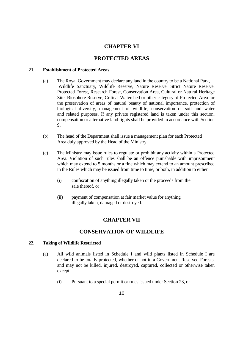## **CHAPTER VI**

## **PROTECTED AREAS**

#### **21. Establishment of Protected Areas**

- (a) The Royal Government may declare any land in the country to be a National Park, Wildlife Sanctuary, Wildlife Reserve, Nature Reserve, Strict Nature Reserve, Protected Forest, Research Forest, Conservation Area, Cultural or Natural Heritage Site, Biosphere Reserve, Critical Watershed or other category of Protected Area for the preservation of areas of natural beauty of national importance, protection of biological diversity, management of wildlife, conservation of soil and water and related purposes. If any private registered land is taken under this section, compensation or alternative land rights shall be provided in accordance with Section 9.
- (b) The head of the Department shall issue a management plan for each Protected Area duly approved by the Head of the Ministry.
- (c) The Ministry may issue rules to regulate or prohibit any activity within a Protected Area. Violation of such rules shall be an offence punishable with imprisonment which may extend to 5 months or a fine which may extend to an amount prescribed in the Rules which may be issued from time to time, or both, in addition to either
	- (i) confiscation of anything illegally taken or the proceeds from the sale thereof, or
	- (ii) payment of compensation at fair market value for anything illegally taken, damaged or destroyed.

## **CHAPTER VII**

## **CONSERVATION OF WILDLIFE**

#### **22. Taking of Wildlife Restricted**

- (a) All wild animals listed in Schedule I and wild plants listed in Schedule I are declared to be totally protected, whether or not in a Government Reserved Forests, and may not be killed, injured, destroyed, captured, collected or otherwise taken except:
	- (i) Pursuant to a special permit or rules issued under Section 23, or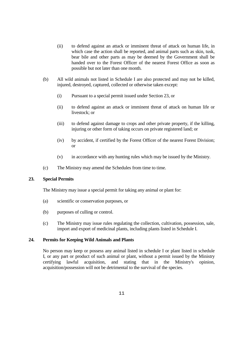- (ii) to defend against an attack or imminent threat of attack on human life, in which case the action shall be reported, and animal parts such as skin, tusk, bear bile and other parts as may be deemed by the Government shall be handed over to the Forest Officer of the nearest Forest Office as soon as possible but not later than one month.
- (b) All wild animals not listed in Schedule I are also protected and may not be killed, injured, destroyed, captured, collected or otherwise taken except:
	- (i) Pursuant to a special permit issued under Section 23, or
	- (ii) to defend against an attack or imminent threat of attack on human life or livestock; or
	- (iii) to defend against damage to crops and other private property, if the killing, injuring or other form of taking occurs on private registered land; or
	- (iv) by accident, if certified by the Forest Officer of the nearest Forest Division; or
	- (v) in accordance with any hunting rules which may be issued by the Ministry.
- (c) The Ministry may amend the Schedules from time to time.

### **23. Special Permits**

The Ministry may issue a special permit for taking any animal or plant for:

- (a) scientific or conservation purposes, or
- (b) purposes of culling or control.
- (c) The Ministry may issue rules regulating the collection, cultivation, possession, sale, import and export of medicinal plants, including plants listed in Schedule I.

### **24. Permits for Keeping Wild Animals and Plants**

No person may keep or possess any animal listed in schedule I or plant listed in schedule I, or any part or product of such animal or plant, without a permit issued by the Ministry certifying lawful acquisition, and stating that in the Ministry's opinion, acquisition/possession will not be detrimental to the survival of the species.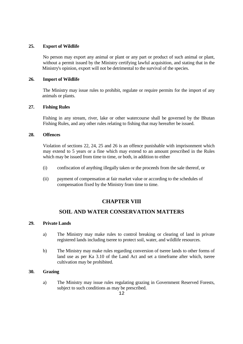#### **25. Export of Wildlife**

 No person may export any animal or plant or any part or product of such animal or plant, without a permit issued by the Ministry certifying lawful acquisition, and stating that in the Ministry's opinion, export will not be detrimental to the survival of the species.

#### **26. Import of Wildlife**

 The Ministry may issue rules to prohibit, regulate or require permits for the import of any animals or plants.

#### **27. Fishing Rules**

 Fishing in any stream, river, lake or other watercourse shall be governed by the Bhutan Fishing Rules, and any other rules relating to fishing that may hereafter be issued.

#### **28. Offences**

 Violation of sections 22, 24, 25 and 26 is an offence punishable with imprisonment which may extend to 5 years or a fine which may extend to an amount prescribed in the Rules which may be issued from time to time, or both, in addition to either

- (i) confiscation of anything illegally taken or the proceeds from the sale thereof, or
- (ii) payment of compensation at fair market value or according to the schedules of compensation fixed by the Ministry from time to time.

## **CHAPTER VIII**

## **SOIL AND WATER CONSERVATION MATTERS**

#### **29. Private Lands**

- a) The Ministry may make rules to control breaking or clearing of land in private registered lands including tseree to protect soil, water, and wildlife resources.
- b) The Ministry may make rules regarding conversion of tseree lands to other forms of land use as per Ka 3.10 of the Land Act and set a timeframe after which, tseree cultivation may be prohibited.

#### **30. Grazing**

 a) The Ministry may issue rules regulating grazing in Government Reserved Forests, subject to such conditions as may be prescribed.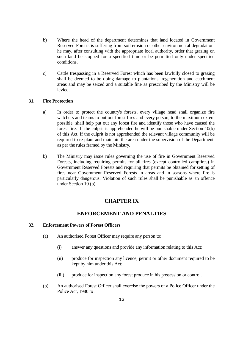- b) Where the head of the department determines that land located in Government Reserved Forests is suffering from soil erosion or other environmental degradation, he may, after consulting with the appropriate local authority, order that grazing on such land be stopped for a specified time or be permitted only under specified conditions.
- c) Cattle trespassing in a Reserved Forest which has been lawfully closed to grazing shall be deemed to be doing damage to plantations, regeneration and catchment areas and may be seized and a suitable fine as prescribed by the Ministry will be levied.

#### **31. Fire Protection**

- a) In order to protect the country's forests, every village head shall organize fire watchers and teams to put out forest fires and every person, to the maximum extent possible, shall help put out any forest fire and identify those who have caused the forest fire. If the culprit is apprehended he will be punishable under Section 10(b) of this Act. If the culprit is not apprehended the relevant village community will be required to re-plant and maintain the area under the supervision of the Department, as per the rules framed by the Ministry.
- b) The Ministry may issue rules governing the use of fire in Government Reserved Forests, including requiring permits for all fires (except controlled campfires) in Government Reserved Forests and requiring that permits be obtained for setting of fires near Government Reserved Forests in areas and in seasons where fire is particularly dangerous. Violation of such rules shall be punishable as an offence under Section 10 (b).

## **CHAPTER IX**

## **ENFORCEMENT AND PENALTIES**

#### **32. Enforcement Powers of Forest Officers**

- (a) An authorised Forest Officer may require any person to:
	- (i) answer any questions and provide any information relating to this Act;
	- (ii) produce for inspection any licence, permit or other document required to be kept by him under this Act;
	- (iii) produce for inspection any forest produce in his possession or control.
- (b) An authorised Forest Officer shall exercise the powers of a Police Officer under the Police Act, 1980 to :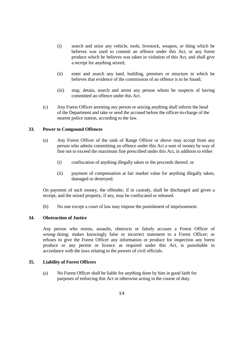- (i) search and seize any vehicle, tools, livestock, weapon, or thing which he believes was used to commit an offence under this Act, or any forest produce which he believes was taken in violation of this Act, and shall give a receipt for anything seized;
- (ii) enter and search any land, building, premises or structure in which he believes that evidence of the commission of an offence is to be found;
- (iii) stop, detain, search and arrest any person whom he suspects of having committed an offence under this Act.
- (c) Any Forest Officer arresting any person or seizing anything shall inform the head of the Department and take or send the accused before the officer-in-charge of the nearest police station, according to the law.

#### **33. Power to Compound Offences**

- (a) Any Forest Officer of the rank of Range Officer or above may accept from any person who admits committing an offence under this Act a sum of money by way of fine not to exceed the maximum fine prescribed under this Act, in addition to either
	- (i) confiscation of anything illegally taken or the proceeds thereof, or
	- (ii) payment of compensation at fair market value for anything illegally taken, damaged or destroyed.

On payment of such money, the offender, if in custody, shall be discharged and given a receipt, and the seized property, if any, may be confiscated or released.

(b) No one except a court of law may impose the punishment of imprisonment.

#### **34. Obstruction of Justice**

Any person who resists, assaults, obstructs or falsely accuses a Forest Officer of wrong- doing; makes knowingly false or incorrect statement to a Forest Officer; or refuses to give the Forest Officer any information or produce for inspection any forest produce or any permit or licence as required under this Act, is punishable in accordance with the laws relating to the powers of civil officials.

#### **35. Liability of Forest Officers**

 (a) No Forest Officer shall be liable for anything done by him in good faith for purposes of enforcing this Act or otherwise acting in the course of duty.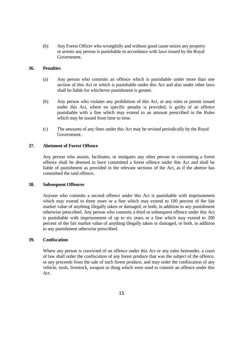(b) Any Forest Officer who wrongfully and without good cause seizes any property or arrests any person is punishable in accordance with laws issued by the Royal Government.

#### **36. Penalties**

- (a) Any person who commits an offence which is punishable under more than one section of this Act or which is punishable under this Act and also under other laws shall be liable for whichever punishment is greater.
- (b) Any person who violates any prohibition of this Act, or any rules or permit issued under this Act, where no specific penalty is provided, is guilty of an offence punishable with a fine which may extend to an amount prescribed in the Rules which may be issued from time to time.
- (c) The amounts of any fines under this Act may be revised periodically by the Royal Government.

#### **37. Abetment of Forest Offence**

 Any person who assists, facilitates, or instigates any other person in committing a forest offence shall be deemed to have committed a forest offence under this Act and shall be liable of punishment as provided in the relevant sections of the Act, as if the abettor has committed the said offence.

#### **38. Subsequent Offences**

 Anyone who commits a second offence under this Act is punishable with imprisonment which may extend to three years or a fine which may extend to 100 percent of the fair market value of anything illegally taken or damaged, or both, in addition to any punishment otherwise prescribed. Any person who commits a third or subsequent offence under this Act is punishable with imprisonment of up to six years or a fine which may extend to 200 percent of the fair market value of anything illegally taken or damaged, or both, in addition to any punishment otherwise prescribed.

#### **39. Confiscation**

Where any person is convicted of an offence under this Act or any rules hereunder, a court of law shall order the confiscation of any forest produce that was the subject of the offence, or any proceeds from the sale of such forest produce, and may order the confiscation of any vehicle, tools, livestock, weapon or thing which were used to commit an offence under this Act.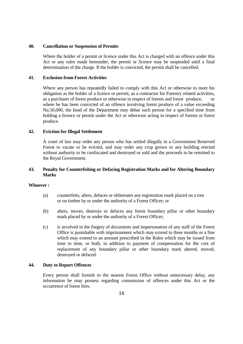#### **40. Cancellation or Suspension of Permits**

 Where the holder of a permit or licence under this Act is charged with an offence under this Act or any rules made hereunder, the permit or licence may be suspended until a final determination of the charge. If the holder is convicted, the permit shall be cancelled.

#### **41. Exclusion from Forest Activities**

Where any person has repeatedly failed to comply with this Act or otherwise to meet his obligation as the holder of a licence or permit, as a contractor for Forestry related activities, as a purchaser of forest produce or otherwise in respect of forests and forest produce, or where he has been convicted of an offence involving forest produce of a value exceeding Nu.50,000, the head of the Department may debar such person for a specified time from holding a licence or permit under the Act or otherwise acting in respect of forests or forest produce.

#### **42. Eviction for Illegal Settlement**

A court of law may order any person who has settled illegally in a Government Reserved Forest to vacate or be evicted, and may order any crop grown or any building erected without authority to be confiscated and destroyed or sold and the proceeds to be remitted to the Royal Government.

### **43. Penalty for Counterfeiting or Defacing Registration Marks and for Altering Boundary Marks**

#### **Whoever :**

- (a) counterfeits, alters, defaces or obliterates any registration mark placed on a tree or on timber by or under the authority of a Forest Officer; or
- (b) alters, moves, destroys or defaces any forest boundary pillar or other boundary mark placed by or under the authority of a Forest Officer;
- (c) is involved in the forgery of documents and impersonation of any staff of the Forest Office is punishable with imprisonment which may extend to three months or a fine which may extend to an amount prescribed in the Rules which may be issued from time to time, or both, in addition to payment of compensation for the cost of replacement of any boundary pillar or other boundary mark altered, moved, destroyed or defaced.

#### **44. Duty to Report Offences**

 Every person shall furnish to the nearest Forest Office without unnecessary delay, any information he may possess regarding commission of offences under this Act or the occurrence of forest fires.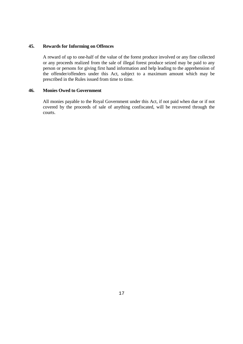#### **45. Rewards for Informing on Offences**

A reward of up to one-half of the value of the forest produce involved or any fine collected or any proceeds realized from the sale of illegal forest produce seized may be paid to any person or persons for giving first hand information and help leading to the apprehension of the offender/offenders under this Act, subject to a maximum amount which may be prescribed in the Rules issued from time to time.

#### **46. Monies Owed to Government**

 All monies payable to the Royal Government under this Act, if not paid when due or if not covered by the proceeds of sale of anything confiscated, will be recovered through the courts.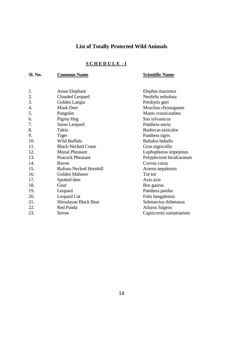# **List of Totally Protected Wild Animals**

## **S C H E D U L E - I**

## **Sl. No. Common Name Scientific Name**

| 1.  | Asian Elephant            | Elephas maximus           |
|-----|---------------------------|---------------------------|
| 2.  | Clouded Leopard           | Neofelis nebulosa         |
| 3.  | Golden Langur             | Presbytis geei            |
| 4.  | <b>Musk Deer</b>          | Moschus chrysogaster      |
| 5.  | Pangolin                  | Manis crassicaudata       |
| 6.  | Pigmy Hog                 | Sus sylvanicus            |
| 7.  | Snow Leopard              | Panthera uncia            |
| 8.  | Takin                     | Budorcas taxicolor        |
| 9.  | <b>Tiger</b>              | Panthera tigris           |
| 10. | Wild Buffalo              | <b>Bubalus</b> bubalis    |
| 11. | <b>Black-Necked Crane</b> | Grus nigricollis          |
| 12. | <b>Monal Pheasant</b>     | Lophophorus impejenus     |
| 13. | <b>Peacock Pheasant</b>   | Polyplectron bicalcaratum |
| 14. | Raven                     | Corvus corax              |
| 15. | Rufous-Necked Hornbill    | Aceros nepalensis         |
| 16. | Golden Mahseer            | Tor tor                   |
| 17. | Spotted deer              | Axis axis                 |
| 18. | Gaur                      | Bos gaurus                |
| 19. | Leopard                   | Panthera pardus           |
| 20. | Leopard Cat               | Felis bengalensis         |
| 21. | Himalayan Black Bear      | Selenarctos thibetanus    |
| 22. | Red Panda                 | Ailurus fulgens           |
| 23. | Serow                     | Capricornis sumatraensis  |